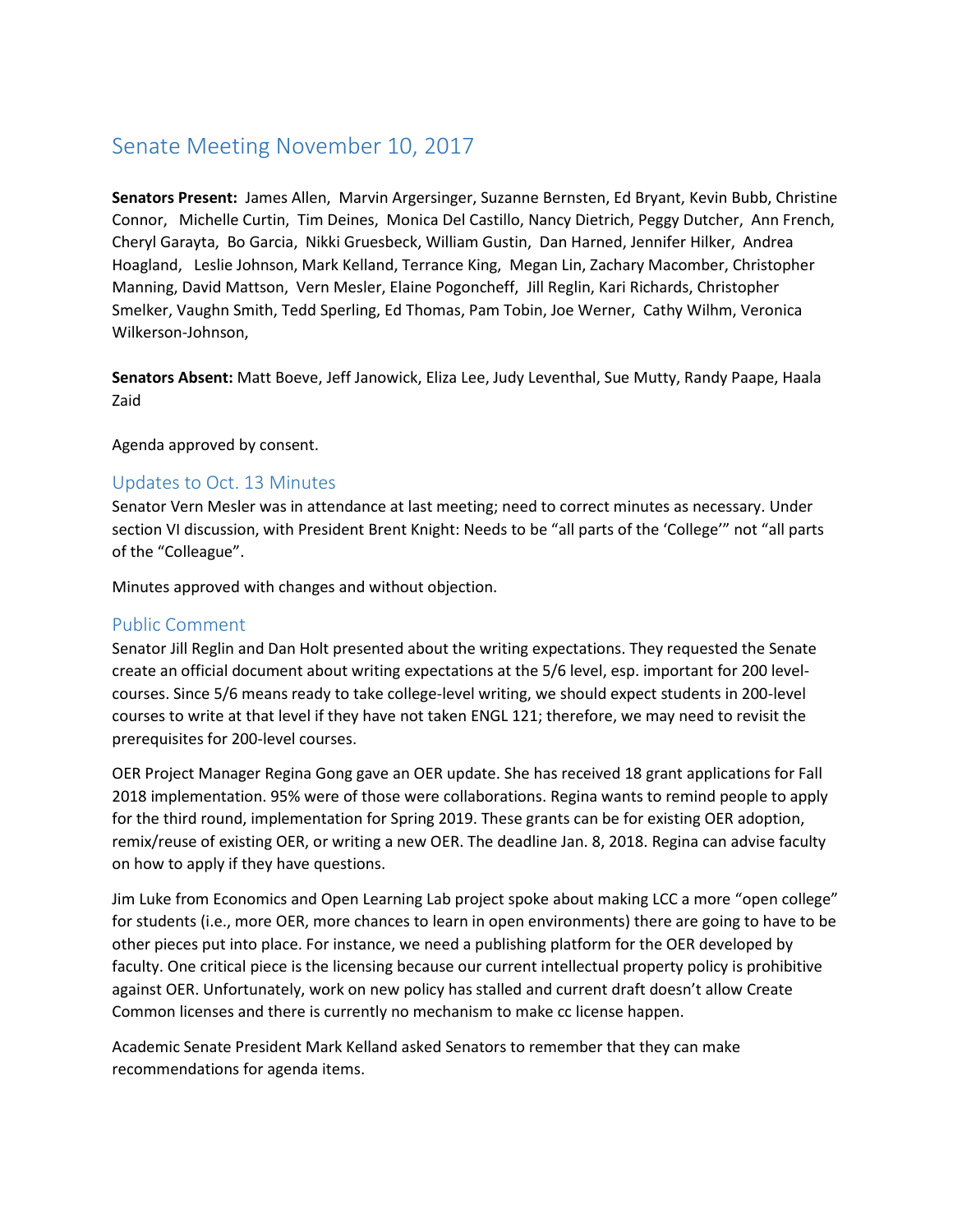# Senate Meeting November 10, 2017

**Senators Present:** James Allen, Marvin Argersinger, Suzanne Bernsten, Ed Bryant, Kevin Bubb, Christine Connor, Michelle Curtin, Tim Deines, Monica Del Castillo, Nancy Dietrich, Peggy Dutcher, Ann French, Cheryl Garayta, Bo Garcia, Nikki Gruesbeck, William Gustin, Dan Harned, Jennifer Hilker, Andrea Hoagland, Leslie Johnson, Mark Kelland, Terrance King, Megan Lin, Zachary Macomber, Christopher Manning, David Mattson, Vern Mesler, Elaine Pogoncheff, Jill Reglin, Kari Richards, Christopher Smelker, Vaughn Smith, Tedd Sperling, Ed Thomas, Pam Tobin, Joe Werner, Cathy Wilhm, Veronica Wilkerson-Johnson,

**Senators Absent:** Matt Boeve, Jeff Janowick, Eliza Lee, Judy Leventhal, Sue Mutty, Randy Paape, Haala Zaid

Agenda approved by consent.

#### Updates to Oct. 13 Minutes

Senator Vern Mesler was in attendance at last meeting; need to correct minutes as necessary. Under section VI discussion, with President Brent Knight: Needs to be "all parts of the 'College'" not "all parts of the "Colleague".

Minutes approved with changes and without objection.

#### Public Comment

Senator Jill Reglin and Dan Holt presented about the writing expectations. They requested the Senate create an official document about writing expectations at the 5/6 level, esp. important for 200 levelcourses. Since 5/6 means ready to take college-level writing, we should expect students in 200-level courses to write at that level if they have not taken ENGL 121; therefore, we may need to revisit the prerequisites for 200-level courses.

OER Project Manager Regina Gong gave an OER update. She has received 18 grant applications for Fall 2018 implementation. 95% were of those were collaborations. Regina wants to remind people to apply for the third round, implementation for Spring 2019. These grants can be for existing OER adoption, remix/reuse of existing OER, or writing a new OER. The deadline Jan. 8, 2018. Regina can advise faculty on how to apply if they have questions.

Jim Luke from Economics and Open Learning Lab project spoke about making LCC a more "open college" for students (i.e., more OER, more chances to learn in open environments) there are going to have to be other pieces put into place. For instance, we need a publishing platform for the OER developed by faculty. One critical piece is the licensing because our current intellectual property policy is prohibitive against OER. Unfortunately, work on new policy has stalled and current draft doesn't allow Create Common licenses and there is currently no mechanism to make cc license happen.

Academic Senate President Mark Kelland asked Senators to remember that they can make recommendations for agenda items.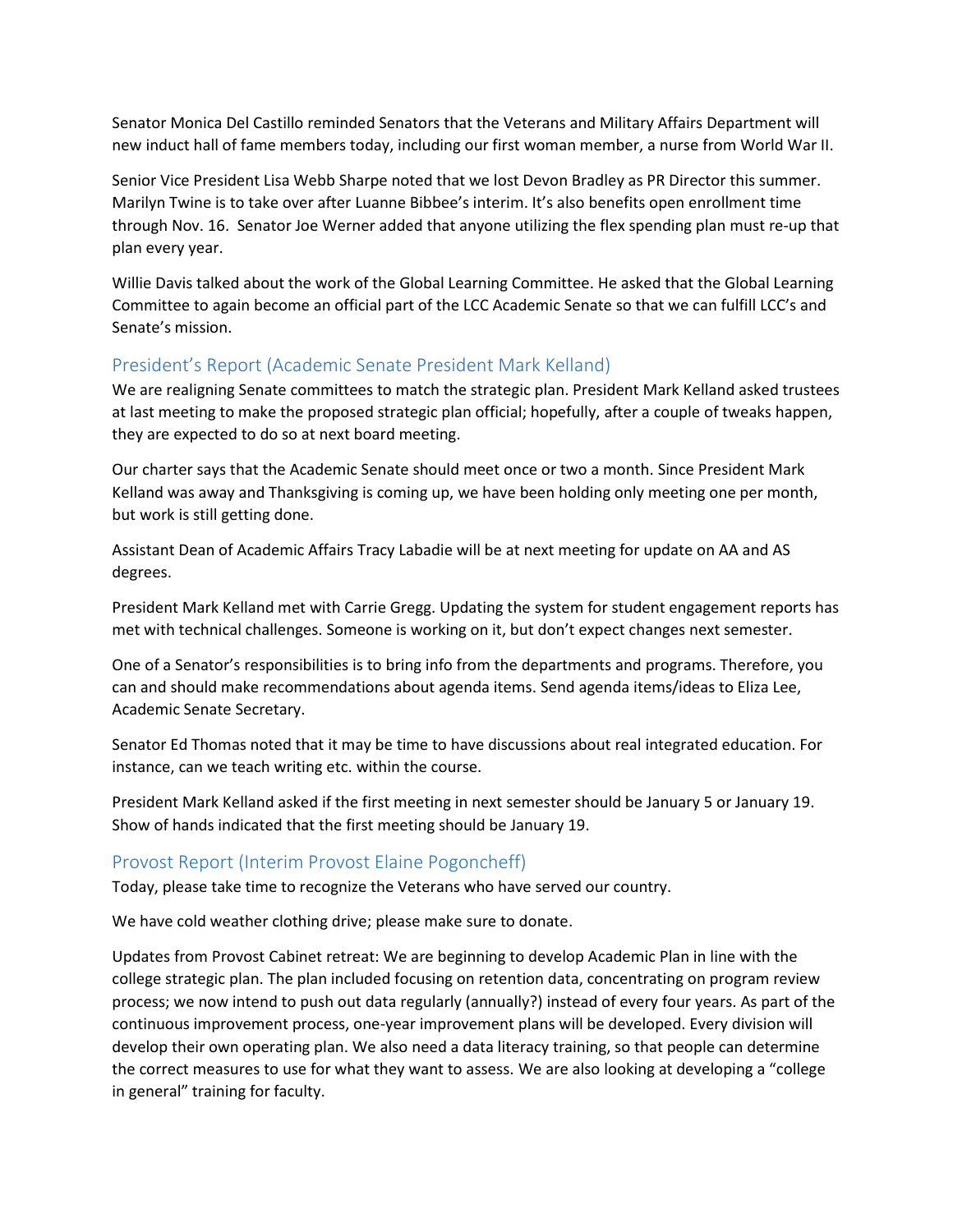Senator Monica Del Castillo reminded Senators that the Veterans and Military Affairs Department will new induct hall of fame members today, including our first woman member, a nurse from World War II.

Senior Vice President Lisa Webb Sharpe noted that we lost Devon Bradley as PR Director this summer. Marilyn Twine is to take over after Luanne Bibbee's interim. It's also benefits open enrollment time through Nov. 16. Senator Joe Werner added that anyone utilizing the flex spending plan must re-up that plan every year.

Willie Davis talked about the work of the Global Learning Committee. He asked that the Global Learning Committee to again become an official part of the LCC Academic Senate so that we can fulfill LCC's and Senate's mission.

## President's Report (Academic Senate President Mark Kelland)

We are realigning Senate committees to match the strategic plan. President Mark Kelland asked trustees at last meeting to make the proposed strategic plan official; hopefully, after a couple of tweaks happen, they are expected to do so at next board meeting.

Our charter says that the Academic Senate should meet once or two a month. Since President Mark Kelland was away and Thanksgiving is coming up, we have been holding only meeting one per month, but work is still getting done.

Assistant Dean of Academic Affairs Tracy Labadie will be at next meeting for update on AA and AS degrees.

President Mark Kelland met with Carrie Gregg. Updating the system for student engagement reports has met with technical challenges. Someone is working on it, but don't expect changes next semester.

One of a Senator's responsibilities is to bring info from the departments and programs. Therefore, you can and should make recommendations about agenda items. Send agenda items/ideas to Eliza Lee, Academic Senate Secretary.

Senator Ed Thomas noted that it may be time to have discussions about real integrated education. For instance, can we teach writing etc. within the course.

President Mark Kelland asked if the first meeting in next semester should be January 5 or January 19. Show of hands indicated that the first meeting should be January 19.

### Provost Report (Interim Provost Elaine Pogoncheff)

Today, please take time to recognize the Veterans who have served our country.

We have cold weather clothing drive; please make sure to donate.

Updates from Provost Cabinet retreat: We are beginning to develop Academic Plan in line with the college strategic plan. The plan included focusing on retention data, concentrating on program review process; we now intend to push out data regularly (annually?) instead of every four years. As part of the continuous improvement process, one-year improvement plans will be developed. Every division will develop their own operating plan. We also need a data literacy training, so that people can determine the correct measures to use for what they want to assess. We are also looking at developing a "college in general" training for faculty.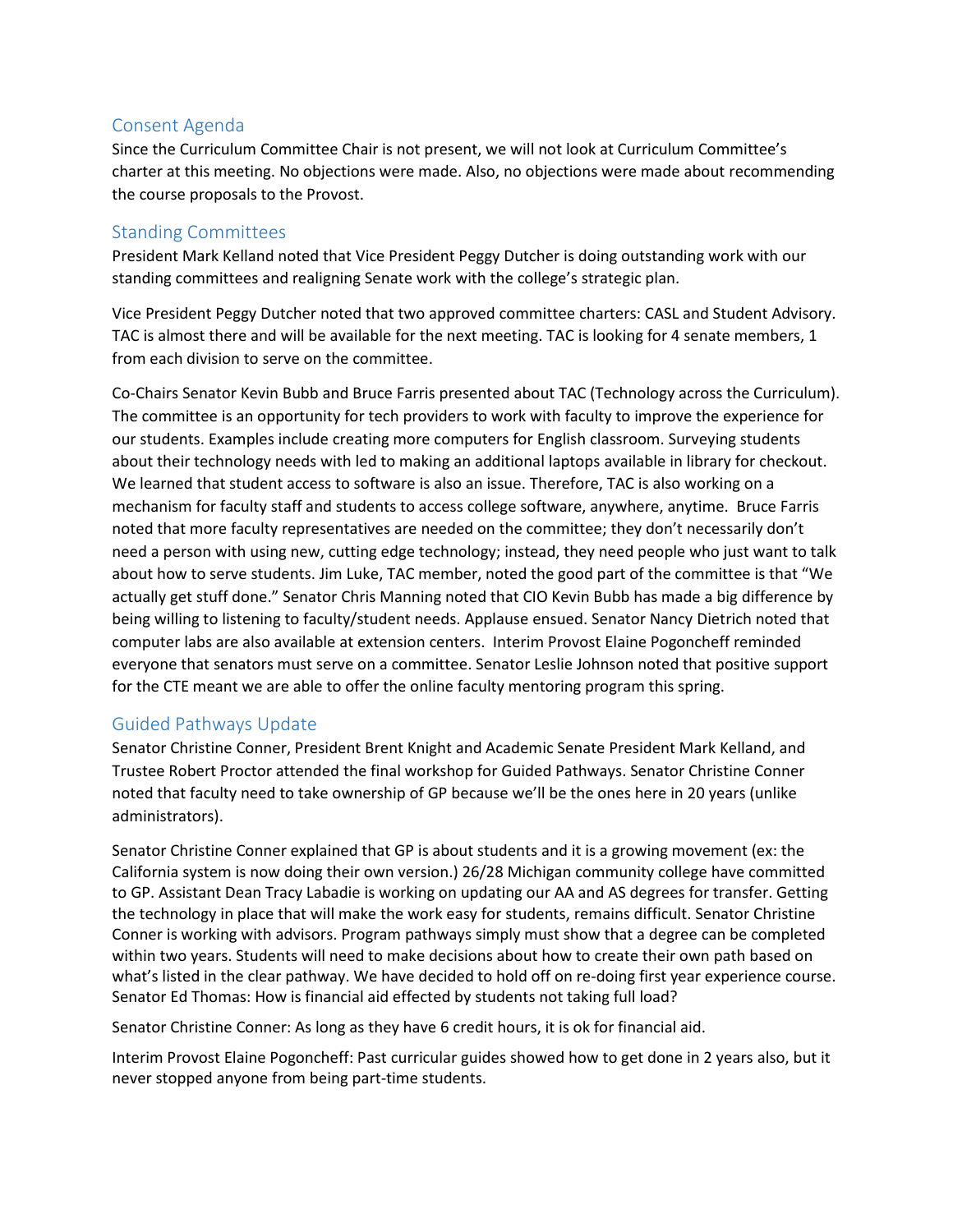### Consent Agenda

Since the Curriculum Committee Chair is not present, we will not look at Curriculum Committee's charter at this meeting. No objections were made. Also, no objections were made about recommending the course proposals to the Provost.

#### Standing Committees

President Mark Kelland noted that Vice President Peggy Dutcher is doing outstanding work with our standing committees and realigning Senate work with the college's strategic plan.

Vice President Peggy Dutcher noted that two approved committee charters: CASL and Student Advisory. TAC is almost there and will be available for the next meeting. TAC is looking for 4 senate members, 1 from each division to serve on the committee.

Co-Chairs Senator Kevin Bubb and Bruce Farris presented about TAC (Technology across the Curriculum). The committee is an opportunity for tech providers to work with faculty to improve the experience for our students. Examples include creating more computers for English classroom. Surveying students about their technology needs with led to making an additional laptops available in library for checkout. We learned that student access to software is also an issue. Therefore, TAC is also working on a mechanism for faculty staff and students to access college software, anywhere, anytime. Bruce Farris noted that more faculty representatives are needed on the committee; they don't necessarily don't need a person with using new, cutting edge technology; instead, they need people who just want to talk about how to serve students. Jim Luke, TAC member, noted the good part of the committee is that "We actually get stuff done." Senator Chris Manning noted that CIO Kevin Bubb has made a big difference by being willing to listening to faculty/student needs. Applause ensued. Senator Nancy Dietrich noted that computer labs are also available at extension centers. Interim Provost Elaine Pogoncheff reminded everyone that senators must serve on a committee. Senator Leslie Johnson noted that positive support for the CTE meant we are able to offer the online faculty mentoring program this spring.

### Guided Pathways Update

Senator Christine Conner, President Brent Knight and Academic Senate President Mark Kelland, and Trustee Robert Proctor attended the final workshop for Guided Pathways. Senator Christine Conner noted that faculty need to take ownership of GP because we'll be the ones here in 20 years (unlike administrators).

Senator Christine Conner explained that GP is about students and it is a growing movement (ex: the California system is now doing their own version.) 26/28 Michigan community college have committed to GP. Assistant Dean Tracy Labadie is working on updating our AA and AS degrees for transfer. Getting the technology in place that will make the work easy for students, remains difficult. Senator Christine Conner is working with advisors. Program pathways simply must show that a degree can be completed within two years. Students will need to make decisions about how to create their own path based on what's listed in the clear pathway. We have decided to hold off on re-doing first year experience course. Senator Ed Thomas: How is financial aid effected by students not taking full load?

Senator Christine Conner: As long as they have 6 credit hours, it is ok for financial aid.

Interim Provost Elaine Pogoncheff: Past curricular guides showed how to get done in 2 years also, but it never stopped anyone from being part-time students.